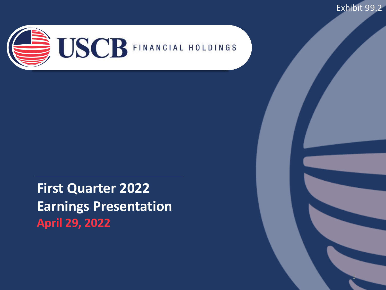Exhibit 99.2

1



**First Quarter 2022 Earnings Presentation April 29, 2022**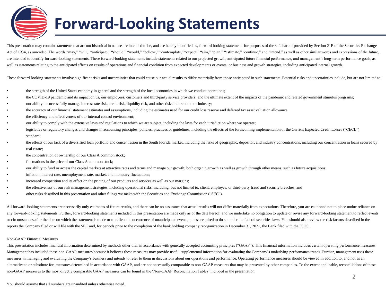# **Forward-Looking Statements**

This presentation may contain statements that are not historical in nature are intended to be, and are hereby identified as, forward-looking statements for purposes of the safe harbor provided by Section 21E of the Securit Act of 1934, as amended. The words "may," "will," "anticipate," "should," "would," "believe," "contemplate," "expect," "aim," "plan," "estimate," "continue," and "intend," as well as other similar words and expressions of are intended to identify forward-looking statements. These forward-looking statements include statements related to our projected growth, anticipated future financial performance, and management's long-term performance goa well as statements relating to the anticipated effects on results of operations and financial condition from expected developments or events, or business and growth strategies, including anticipated internal growth.

These forward-looking statements involve significant risks and uncertainties that could cause our actual results to differ materially from those anticipated in such statements. Potential risks and uncertainties include, bu

- the strength of the United States economy in general and the strength of the local economies in which we conduct operations;
- the COVID-19 pandemic and its impact on us, our employees, customers and third-party service providers, and the ultimate extent of the impacts of the pandemic and related government stimulus programs;
- our ability to successfully manage interest rate risk, credit risk, liquidity risk, and other risks inherent to our industry;
- the accuracy of our financial statement estimates and assumptions, including the estimates used for our credit loss reserve and deferred tax asset valuation allowance;
- the efficiency and effectiveness of our internal control environment;
- our ability to comply with the extensive laws and regulations to which we are subject, including the laws for each jurisdiction where we operate;
- legislative or regulatory changes and changes in accounting principles, policies, practices or guidelines, including the effects of the forthcoming implementation of the Current Expected Credit Losses ("CECL") standard;
- the effects of our lack of a diversified loan portfolio and concentration in the South Florida market, including the risks of geographic, depositor, and industry concentrations, including our concentration in loans secured real estate;
- the concentration of ownership of our Class A common stock;
- fluctuations in the price of our Class A common stock;
- our ability to fund or access the capital markets at attractive rates and terms and manage our growth, both organic growth as well as growth through other means, such as future acquisitions;
- inflation, interest rate, unemployment rate, market, and monetary fluctuations;
- increased competition and its effect on the pricing of our products and services as well as our margins;
- the effectiveness of our risk management strategies, including operational risks, including, but not limited to, client, employee, or third-party fraud and security breaches; and
- other risks described in this presentation and other filings we make with the Securities and Exchange Commission ("SEC").

All forward-looking statements are necessarily only estimates of future results, and there can be no assurance that actual results will not differ materially from expectations. Therefore, you are cautioned not to place und any forward-looking statements. Further, forward-looking statements included in this presentation are made only as of the date hereof, and we undertake no obligation to update or revise any forward-looking statement to ref or circumstances after the date on which the statement is made or to reflect the occurrence of unanticipated events, unless required to do so under the federal securities laws. You should also review the risk factors descr reports the Company filed or will file with the SEC and, for periods prior to the completion of the bank holding company reorganization in December 31, 2021, the Bank filed with the FDIC.

### Non-GAAP Financial Measures

This presentation includes financial information determined by methods other than in accordance with generally accepted accounting principles ("GAAP"). This financial information includes certain operating performance meas Management has included these non-GAAP measures because it believes these measures may provide useful supplemental information for evaluating the Company's underlying performance trends. Further, management uses these measures in managing and evaluating the Company's business and intends to refer to them in discussions about our operations and performance. Operating performance measures should be viewed in addition to, and not as an alternative to or substitute for, measures determined in accordance with GAAP, and are not necessarily comparable to non-GAAP measures that may be presented by other companies. To the extent applicable, reconciliations of non-GAAP measures to the most directly comparable GAAP measures can be found in the 'Non-GAAP Reconciliation Tables' included in the presentation.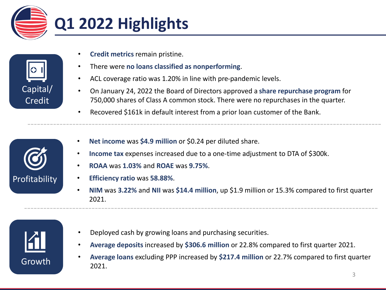



- **Credit metrics** remain pristine.
- There were **no loans classified as nonperforming**.
- ACL coverage ratio was 1.20% in line with pre-pandemic levels.
- On January 24, 2022 the Board of Directors approved a **share repurchase program** for 750,000 shares of Class A common stock. There were no repurchases in the quarter.
- Recovered \$161k in default interest from a prior loan customer of the Bank.



- **Net income** was **\$4.9 million** or \$0.24 per diluted share.
- **Income tax** expenses increased due to a one-time adjustment to DTA of \$300k.
- **ROAA** was **1.03%** and **ROAE** was **9.75%**.
- **Efficiency ratio** was **58.88%**.
- **NIM** was **3.22%** and **NII** was **\$14.4 million**, up \$1.9 million or 15.3% compared to first quarter 2021.



- Deployed cash by growing loans and purchasing securities.
- **Average deposits** increased by **\$306.6 million** or 22.8% compared to first quarter 2021.
- **Average loans** excluding PPP increased by **\$217.4 million** or 22.7% compared to first quarter 2021.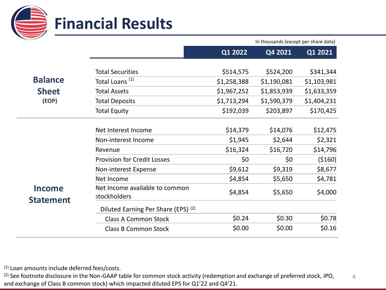

In thousands (except per share data)

|                                   |                                                | Q1 2022     | Q4 2021     | Q1 2021     |
|-----------------------------------|------------------------------------------------|-------------|-------------|-------------|
|                                   | <b>Total Securities</b>                        | \$514,575   | \$524,200   | \$341,344   |
| <b>Balance</b>                    | Total Loans <sup>(1)</sup>                     | \$1,258,388 | \$1,190,081 | \$1,103,981 |
| <b>Sheet</b>                      | <b>Total Assets</b>                            | \$1,967,252 | \$1,853,939 | \$1,633,359 |
| (EOP)                             | <b>Total Deposits</b>                          | \$1,713,294 | \$1,590,379 | \$1,404,231 |
|                                   | <b>Total Equity</b>                            | \$192,039   | \$203,897   | \$170,425   |
|                                   |                                                |             |             |             |
|                                   | Net Interest Income                            | \$14,379    | \$14,076    | \$12,475    |
|                                   | Non-interest Income                            | \$1,945     | \$2,644     | \$2,321     |
|                                   | Revenue                                        | \$16,324    | \$16,720    | \$14,796    |
|                                   | <b>Provision for Credit Losses</b>             | \$0         | \$0         | (5160)      |
|                                   | Non-interest Expense                           | \$9,612     | \$9,319     | \$8,677     |
|                                   | Net Income                                     | \$4,854     | \$5,650     | \$4,781     |
| <b>Income</b><br><b>Statement</b> | Net Income available to common<br>stockholders | \$4,854     | \$5,650     | \$4,000     |
|                                   | Diluted Earning Per Share (EPS) (2)            |             |             |             |
|                                   | <b>Class A Common Stock</b>                    | \$0.24      | \$0.30      | \$0.78      |
|                                   | <b>Class B Common Stock</b>                    | \$0.00      | \$0.00      | \$0.16      |

(1) Loan amounts include deferred fees/costs.

4 <sup>(2)</sup> See footnote disclosure in the Non-GAAP table for common stock activity (redemption and exchange of preferred stock, IPO, and exchange of Class B common stock) which impacted diluted EPS for Q1'22 and Q4'21.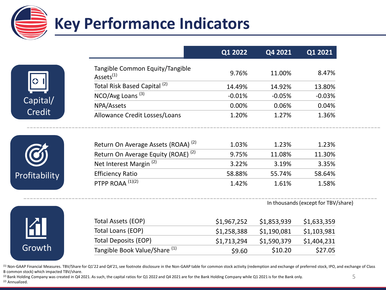





|                                                          | Q1 2022  | Q4 2021  | Q1 2021  |
|----------------------------------------------------------|----------|----------|----------|
| Tangible Common Equity/Tangible<br>Assets <sup>(1)</sup> | 9.76%    | 11.00%   | 8.47%    |
| Total Risk Based Capital <sup>(2)</sup>                  | 14.49%   | 14.92%   | 13.80%   |
| NCO/Avg Loans <sup>(3)</sup>                             | $-0.01%$ | $-0.05%$ | $-0.03%$ |
| NPA/Assets                                               | 0.00%    | 0.06%    | 0.04%    |
| Allowance Credit Losses/Loans                            | 1.20%    | 1.27%    | 1.36%    |
| Return On Average Assets (ROAA) <sup>(2)</sup>           | 1.03%    | 1.23%    | 1.23%    |
| Return On Average Equity (ROAE) <sup>(2)</sup>           | 9.75%    | 11.08%   | 11.30%   |
| Net Interest Margin <sup>(2)</sup>                       | 3.22%    | 3.19%    | 3.35%    |
| <b>Efficiency Ratio</b>                                  | 58.88%   | 55.74%   | 58.64%   |
| PTPP ROAA <sup>(1)(2)</sup>                              | 1.42%    | 1.61%    | 1.58%    |

In thousands (except for TBV/share)



| Total Assets (EOP)                       | \$1,967,252 | \$1,853,939 | \$1,633,359 |
|------------------------------------------|-------------|-------------|-------------|
| Total Loans (EOP)                        | \$1,258,388 | \$1,190,081 | \$1,103,981 |
| Total Deposits (EOP)                     | \$1,713,294 | \$1,590,379 | \$1,404,231 |
| Tangible Book Value/Share <sup>(1)</sup> | \$9.60      | \$10.20     | \$27.05     |

(1) Non-GAAP Financial Measures. TBV/Share for Q1'22 and Q4'21, see footnote disclosure in the Non-GAAP table for common stock activity (redemption and exchange of preferred stock, IPO, and exchange of Class B common stock) which impacted TBV/share.

<sup>(2)</sup> Bank Holding Company was created in Q4 2021. As such, the capital ratios for Q1 2022 and Q4 2021 are for the Bank Holding Company while Q1 2021 is for the Bank only. (2) Annualized.

--------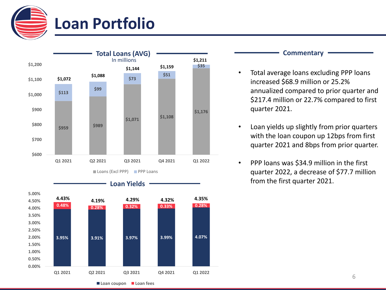



- Total average loans excluding PPP loans increased \$68.9 million or 25.2% annualized compared to prior quarter and \$217.4 million or 22.7% compared to first quarter 2021.
- Loan yields up slightly from prior quarters with the loan coupon up 12bps from first quarter 2021 and 8bps from prior quarter.
- PPP loans was \$34.9 million in the first quarter 2022, a decrease of \$77.7 million from the first quarter 2021.

**0.00% 0.50% 1.00% 1.50% 2.00%** **3.95% 3.91% 3.97% 3.99% 4.07%**

**Q1 2021 Q2 2021 Q3 2021 Q4 2021 Q1 2022**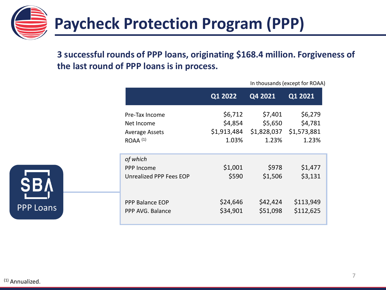

### **3 successful rounds of PPP loans, originating \$168.4 million. Forgiveness of the last round of PPP loans is in process.**

|                                                          | Q1 2022          | Q4 2021          | Q1 2021            |
|----------------------------------------------------------|------------------|------------------|--------------------|
| Pre-Tax Income                                           | \$6,712          | \$7,401          | \$6,279            |
| Net Income                                               | \$4,854          | \$5,650          | \$4,781            |
| <b>Average Assets</b>                                    | \$1,913,484      | \$1,828,037      | \$1,573,881        |
| $ROAA$ $(1)$                                             | 1.03%            | 1.23%            | 1.23%              |
| of which<br><b>PPP Income</b><br>Unrealized PPP Fees EOP | \$1,001<br>\$590 | \$978<br>\$1,506 | \$1,477<br>\$3,131 |
| <b>PPP Balance EOP</b>                                   | \$24,646         | \$42,424         | \$113,949          |
| PPP AVG. Balance                                         | \$34,901         | \$51,098         | \$112,625          |



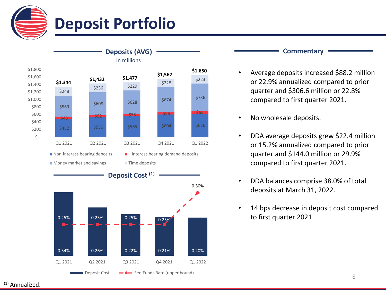



- Average deposits increased \$88.2 million or 22.9% annualized compared to prior quarter and \$306.6 million or 22.8% compared to first quarter 2021.
- No wholesale deposits.
- DDA average deposits grew \$22.4 million or 15.2% annualized compared to prior quarter and \$144.0 million or 29.9% compared to first quarter 2021.
- DDA balances comprise 38.0% of total deposits at March 31, 2022.
- 14 bps decrease in deposit cost compared to first quarter 2021.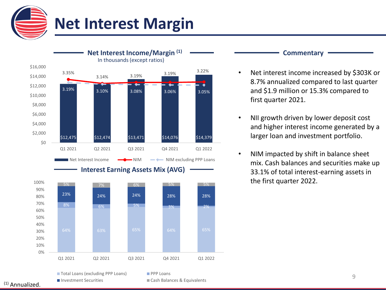



- Net interest income increased by \$303K or 8.7% annualized compared to last quarter and \$1.9 million or 15.3% compared to first quarter 2021.
- NII growth driven by lower deposit cost and higher interest income generated by a larger loan and investment portfolio.
- NIM impacted by shift in balance sheet mix. Cash balances and securities make up 33.1% of total interest-earning assets in the first quarter 2022.

■ Investment Securities Cash Balances & Equivalents

■ Total Loans (excluding PPP Loans) PPP Loans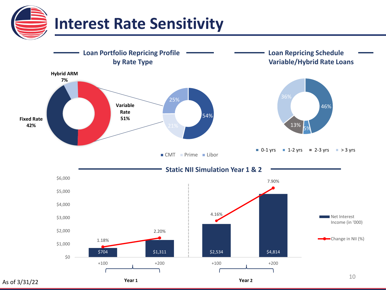

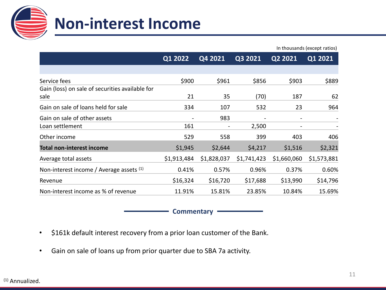

|                                                 |                              |                          |                          |                          | In thousands (except ratios) |
|-------------------------------------------------|------------------------------|--------------------------|--------------------------|--------------------------|------------------------------|
|                                                 | Q1 2022                      | Q4 2021                  | Q2 2021<br>Q3 2021       |                          | Q1 2021                      |
|                                                 |                              |                          |                          |                          |                              |
| Service fees                                    | \$900                        | \$961                    | \$856                    | \$903                    | \$889                        |
| Gain (loss) on sale of securities available for |                              |                          |                          |                          |                              |
| sale                                            | 21                           | 35                       | (70)                     | 187                      | 62                           |
| Gain on sale of loans held for sale             | 334                          | 107                      | 532                      | 23                       | 964                          |
| Gain on sale of other assets                    | $\qquad \qquad \blacksquare$ | 983                      | $\overline{\phantom{a}}$ | $\overline{\phantom{a}}$ |                              |
| Loan settlement                                 | 161                          | $\overline{\phantom{a}}$ | 2,500                    | $\overline{\phantom{a}}$ |                              |
| Other income                                    | 529                          | 558                      | 399                      | 403                      | 406                          |
| <b>Total non-interest income</b>                | \$1,945                      | \$2,644                  | \$4,217                  | \$1,516                  | \$2,321                      |
| Average total assets                            | \$1,913,484                  | \$1,828,037              | \$1,741,423              | \$1,660,060              | \$1,573,881                  |
| Non-interest income / Average assets (1)        | 0.41%                        | 0.57%                    | 0.96%                    | 0.37%                    | 0.60%                        |
| Revenue                                         | \$16,324                     | \$16,720                 | \$17,688                 | \$13,990                 | \$14,796                     |
| Non-interest income as % of revenue             | 11.91%                       | 15.81%                   | 23.85%                   | 10.84%                   | 15.69%                       |

**Commentary**

- \$161k default interest recovery from a prior loan customer of the Bank.
- Gain on sale of loans up from prior quarter due to SBA 7a activity.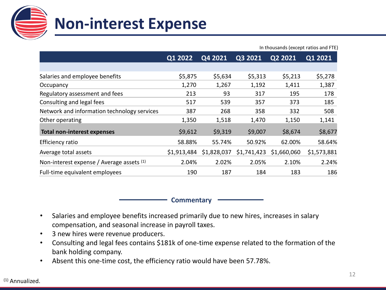

|                                             | In thousands (except ratios and FTE) |             |             |             |             |  |  |  |  |  |
|---------------------------------------------|--------------------------------------|-------------|-------------|-------------|-------------|--|--|--|--|--|
|                                             | Q1 2022                              | Q4 2021     | Q3 2021     | Q2 2021     | Q1 2021     |  |  |  |  |  |
|                                             |                                      |             |             |             |             |  |  |  |  |  |
| Salaries and employee benefits              | \$5,875                              | \$5,634     | \$5,313     | \$5,213     | \$5,278     |  |  |  |  |  |
| Occupancy                                   | 1,270                                | 1,267       | 1,192       | 1,411       | 1,387       |  |  |  |  |  |
| Regulatory assessment and fees              | 213                                  | 93          | 317         | 195         | 178         |  |  |  |  |  |
| Consulting and legal fees                   | 517                                  | 539         | 357         | 373         | 185         |  |  |  |  |  |
| Network and information technology services | 387                                  | 268         | 358         | 332         | 508         |  |  |  |  |  |
| Other operating                             | 1,350                                | 1,518       | 1,470       | 1,150       | 1,141       |  |  |  |  |  |
| <b>Total non-interest expenses</b>          | \$9,612                              | \$9,319     | \$9,007     | \$8,674     | \$8,677     |  |  |  |  |  |
| Efficiency ratio                            | 58.88%                               | 55.74%      | 50.92%      | 62.00%      | 58.64%      |  |  |  |  |  |
| Average total assets                        | \$1,913,484                          | \$1,828,037 | \$1,741,423 | \$1,660,060 | \$1,573,881 |  |  |  |  |  |
| Non-interest expense / Average assets (1)   | 2.04%                                | 2.02%       | 2.05%       | 2.10%       | 2.24%       |  |  |  |  |  |
| Full-time equivalent employees              | 190                                  | 187         | 184         | 183         | 186         |  |  |  |  |  |

**Commentary**

- Salaries and employee benefits increased primarily due to new hires, increases in salary compensation, and seasonal increase in payroll taxes.
- 3 new hires were revenue producers.
- Consulting and legal fees contains \$181k of one-time expense related to the formation of the bank holding company.
- Absent this one-time cost, the efficiency ratio would have been 57.78%.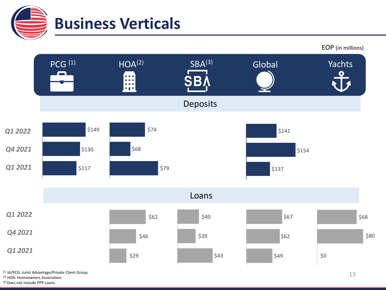



(1) JA/PCG: Jurist Advantage/Private Client Group.

(2) HOA: Homeowners Association.

(3) Does not include PPP Loans.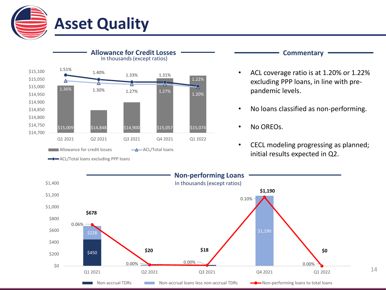



**Commentary**

- ACL coverage ratio is at 1.20% or 1.22% excluding PPP loans, in line with prepandemic levels.
- No loans classified as non-performing.
- CECL modeling progressing as planned; initial results expected in Q2.



Non-accrual TDRs Non-accrual loans less non-accrual TDRs Non-performing loans to total loans

0.00% 0.00%

**\$0**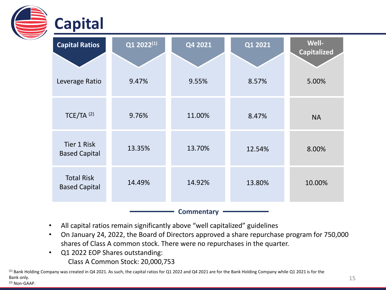| <b>Capital</b>                             |            |                   |         |                                    |
|--------------------------------------------|------------|-------------------|---------|------------------------------------|
| <b>Capital Ratios</b>                      | Q1 2022(1) | Q4 2021           | Q1 2021 | <b>Well-</b><br><b>Capitalized</b> |
| Leverage Ratio                             | 9.47%      | 9.55%             | 8.57%   | 5.00%                              |
| $TCE/TA$ <sup>(2)</sup>                    | 9.76%      | 11.00%            | 8.47%   | <b>NA</b>                          |
| <b>Tier 1 Risk</b><br><b>Based Capital</b> | 13.35%     | 13.70%            | 12.54%  | 8.00%                              |
| <b>Total Risk</b><br><b>Based Capital</b>  | 14.49%     | 14.92%            | 13.80%  | 10.00%                             |
|                                            |            | <b>Commentary</b> |         |                                    |

- All capital ratios remain significantly above "well capitalized" guidelines
- On January 24, 2022, the Board of Directors approved a share repurchase program for 750,000 shares of Class A common stock. There were no repurchases in the quarter.
- Q1 2022 EOP Shares outstanding: Class A Common Stock: 20,000,753

(1) Bank Holding Company was created in Q4 2021. As such, the capital ratios for Q1 2022 and Q4 2021 are for the Bank Holding Company while Q1 2021 is for the Bank only. (2) Non-GAAP.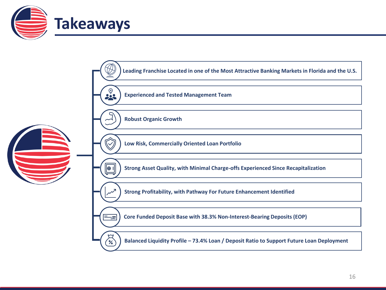

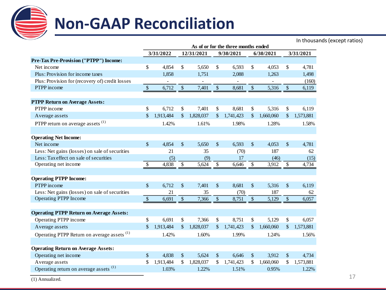

# **Non-GAAP Reconciliation**

In thousands (except ratios)

|                                                        | As of or for the three months ended |           |                    |            |                           |           |               |           |                           |           |
|--------------------------------------------------------|-------------------------------------|-----------|--------------------|------------|---------------------------|-----------|---------------|-----------|---------------------------|-----------|
|                                                        |                                     | 3/31/2022 |                    | 12/31/2021 |                           | 9/30/2021 |               | 6/30/2021 |                           | 3/31/2021 |
| Pre-Tax Pre-Provision ("PTPP") Income:                 |                                     |           |                    |            |                           |           |               |           |                           |           |
| Net income                                             | \$                                  | 4,854     | \$                 | 5,650      | \$                        | 6,593     | \$            | 4,053     | \$                        | 4,781     |
| Plus: Provision for income taxes                       |                                     | 1,858     |                    | 1,751      |                           | 2,088     |               | 1,263     |                           | 1,498     |
| Plus: Provision for (recovery of) credit losses        |                                     |           |                    |            |                           |           |               |           |                           | (160)     |
| PTPP income                                            | $\boldsymbol{\mathsf{S}}$           | 6,712     | \$                 | 7,401      | \$                        | 8,681     | \$            | 5,316     | \$                        | 6,119     |
| <b>PTPP Return on Average Assets:</b>                  |                                     |           |                    |            |                           |           |               |           |                           |           |
| PTPP income                                            | \$                                  | 6,712     | \$                 | 7,401      | \$                        | 8,681     | \$            | 5,316     | \$                        | 6,119     |
| Average assets                                         | \$                                  | 1,913,484 | \$                 | 1,828,037  | \$                        | 1,741,423 | \$            | 1,660,060 | \$                        | 1,573,881 |
| PTPP return on average assets <sup>(1)</sup>           |                                     | 1.42%     |                    | 1.61%      |                           | 1.98%     |               | 1.28%     |                           | 1.58%     |
| <b>Operating Net Income:</b>                           |                                     |           |                    |            |                           |           |               |           |                           |           |
| Net income                                             | \$                                  | 4,854     | \$                 | 5,650      | \$                        | 6,593     | \$            | 4,053     | \$                        | 4,781     |
| Less: Net gains (losses) on sale of securities         | 21                                  |           |                    | 35<br>(70) |                           |           |               | 187       | 62                        |           |
| Less: Tax effect on sale of securities                 |                                     | (5)       |                    | (9)        |                           | 17        |               | (46)      |                           | (15)      |
| Operating net income                                   | $\boldsymbol{\mathsf{S}}$           | 4,838     | \$                 | 5,624      | \$                        | 6,646     | \$            | 3,912     | \$                        | 4,734     |
| <b>Operating PTPP Income:</b>                          |                                     |           |                    |            |                           |           |               |           |                           |           |
| PTPP income                                            | $\mathcal{S}$                       | 6,712     | $\mathbf{\hat{S}}$ | 7,401      | $\mathbb{S}$              | 8,681     | $\mathsf{\$}$ | 5,316     | $\mathcal{S}$             | 6,119     |
| Less: Net gains (losses) on sale of securities         |                                     | 21        |                    | 35         |                           | (70)      |               | 187       |                           | 62        |
| Operating PTPP Income                                  | $\sqrt{2}$                          | 6,691     | $\$\,$             | 7,366      | $\boldsymbol{\mathsf{S}}$ | 8,751     | $\$\,$        | 5,129     | $\boldsymbol{\mathsf{S}}$ | 6,057     |
| <b>Operating PTPP Return on Average Assets:</b>        |                                     |           |                    |            |                           |           |               |           |                           |           |
| Operating PTPP income                                  | \$                                  | 6,691     | \$                 | 7,366      | \$                        | 8,751     | \$            | 5,129     | \$                        | 6,057     |
| Average assets                                         | $\mathcal{S}$                       | 1,913,484 | $\mathbb{S}$       | 1,828,037  | \$                        | 1,741,423 | \$            | 1,660,060 | \$                        | 1,573,881 |
| Operating PTPP Return on average assets <sup>(1)</sup> |                                     | 1.42%     |                    | 1.60%      |                           | 1.99%     |               | 1.24%     |                           | 1.56%     |
| <b>Operating Return on Average Assets:</b>             |                                     |           |                    |            |                           |           |               |           |                           |           |
| Operating net income                                   | \$                                  | 4,838     | \$                 | 5,624      | $\sqrt{\ }$               | 6,646     | \$            | 3,912     | $\boldsymbol{\mathsf{S}}$ | 4,734     |
| Average assets                                         | \$                                  | 1,913,484 | \$                 | 1,828,037  | \$                        | 1,741,423 | \$            | 1,660,060 | \$                        | 1,573,881 |
| Operating return on average assets <sup>(1)</sup>      |                                     | 1.03%     |                    | 1.22%      |                           | 1.51%     |               | 0.95%     |                           | 1.22%     |

(1) Annualized.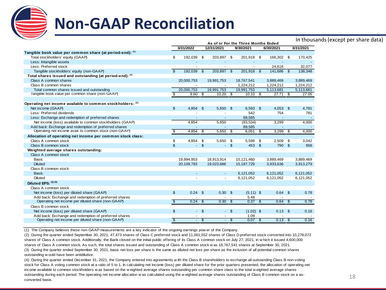

## **Non-GAAP Reconciliation**

### In thousands (except per share data)

|                                                            | As of or For the Three Months Ended |                          |                         |                   |                          |              |                         |            |                         |           |  |
|------------------------------------------------------------|-------------------------------------|--------------------------|-------------------------|-------------------|--------------------------|--------------|-------------------------|------------|-------------------------|-----------|--|
|                                                            |                                     | 3/31/2022                |                         | 12/31/2021        |                          | 9/30/2021    |                         | 6/30/2021  | 3/31/2021               |           |  |
| Tangible book value per common share (at period-end): (1)  |                                     |                          |                         |                   |                          |              |                         |            |                         |           |  |
| Total stockholders' equity (GAAP)                          | \$                                  | 192,039                  | - \$                    | 203,897 \$        |                          | 201,918 \$   |                         | 166,302 \$ |                         | 170,425   |  |
| Less: Intangible assets                                    |                                     |                          |                         |                   |                          |              |                         |            |                         |           |  |
| Less: Preferred stock                                      |                                     |                          |                         |                   |                          | $\sim$       |                         | 24.616     |                         | 32,077    |  |
| Tangible stockholders' equity (non-GAAP)                   | $\mathfrak{L}$                      | 192.039                  | \$                      | 203.897 \$        |                          | 201.918 \$   |                         | 141.686 \$ |                         | 138,348   |  |
| Total shares issued and outstanding (at period-end): (2)   |                                     |                          |                         |                   |                          |              |                         |            |                         |           |  |
| Class A common shares                                      |                                     | 20,000,753               |                         | 19,991,753        |                          | 18,767,541   |                         | 3,889,469  |                         | 3,889,469 |  |
| Class B common shares                                      |                                     |                          |                         |                   |                          | 1,224,212    |                         | 1,224,212  |                         | 1,224,212 |  |
| Total common shares issued and outstanding                 |                                     | 20.000.753               |                         | 19.991.753        |                          | 19,991,753   |                         | 5,113,681  |                         | 5,113,681 |  |
| Tangible book value per common share (non-GAAP)            | \$.                                 | $9.60$ \$                |                         | $10.20$ \$        |                          | $10.10$ \$   |                         | $27.71$ \$ |                         | 27.05     |  |
|                                                            |                                     |                          |                         |                   |                          |              |                         |            |                         |           |  |
| Operating net income available to common stockholders: (1) |                                     |                          |                         |                   |                          |              |                         |            |                         |           |  |
| Net income (GAAP)                                          | $\mathfrak{L}$                      | 4,854                    | - \$                    | $5,650$ \$        |                          | 6,593        | $\mathfrak{F}$          | $4,053$ \$ |                         | 4,781     |  |
| Less: Preferred dividends                                  |                                     |                          |                         |                   |                          | 542          |                         | 754        |                         | 781       |  |
| Less: Exchange and redemption of preferred shares          |                                     | $\overline{\phantom{a}}$ |                         | ٠                 |                          | 89.585       |                         |            |                         |           |  |
| Net income (loss) available to common stockholders (GAAP)  |                                     | 4,854                    |                         | 5,650             |                          | (83, 534)    |                         | 3,299      |                         | 4,000     |  |
| Add back: Exchange and redemption of preferred shares      |                                     |                          |                         |                   |                          | 89,585       |                         |            |                         |           |  |
| Operating net income avail. to common stock (non-GAAP)     | $\overline{\mathcal{S}}$            | $4,854$ \$               |                         | $5,650$ \$        |                          | 6.051        | _ક                      | $3,299$ \$ |                         | 4,000     |  |
| Allocation of operating net income per common stock class: |                                     |                          |                         |                   |                          |              |                         |            |                         |           |  |
| Class A common stock                                       | \$                                  | 4,854 \$                 |                         | 5,650             | - \$                     | 5,598        | \$                      | $2,509$ \$ |                         | 3,042     |  |
| Class B common stock                                       | $\mathbb{S}$                        |                          | $-5$                    | ÷.                | $\mathbf{s}$             | 453          | $\mathfrak{L}$          | 790 \$     |                         | 958       |  |
| Weighted average shares outstanding:                       |                                     |                          |                         |                   |                          |              |                         |            |                         |           |  |
| Class A common stock                                       |                                     |                          |                         |                   |                          |              |                         |            |                         |           |  |
| Basic                                                      |                                     | 19,994,953               |                         | 18,913,914        |                          | 15,121,460   |                         | 3,889,469  |                         | 3,889,469 |  |
| <b>Diluted</b>                                             |                                     | 20,109,783               |                         | 19,023,686        |                          | 15, 187, 729 |                         | 3,933,636  |                         | 3,913,279 |  |
| Class B common stock                                       |                                     |                          |                         |                   |                          |              |                         |            |                         |           |  |
| <b>Basic</b>                                               |                                     |                          |                         |                   |                          | 6,121,052    |                         | 6,121,052  |                         | 6,121,052 |  |
| <b>Diluted</b>                                             |                                     |                          |                         |                   |                          | 6,121,052    |                         | 6,121,052  |                         | 6,121,052 |  |
| Diluted EPS: $(3)$ (4)                                     |                                     |                          |                         |                   |                          |              |                         |            |                         |           |  |
| Class A common stock                                       |                                     |                          |                         |                   |                          |              |                         |            |                         |           |  |
| Net income (loss) per diluted share (GAAP)                 | $\mathfrak{L}$                      | $0.24$ \$                |                         | 0.30 <sup>5</sup> |                          | $(5.11)$ \$  |                         | $0.64$ \$  |                         | 0.78      |  |
| Add back: Exchange and redemption of preferred shares      |                                     |                          |                         |                   |                          | 5.48         |                         |            |                         |           |  |
| Operating net income per diluted share (non-GAAP)          | $\overline{\mathcal{S}}$            | 0.24                     | $\overline{\mathbf{s}}$ | 0.30              | $\overline{\mathcal{S}}$ | 0.37         | $\overline{\mathbf{s}}$ | 0.64       | $\overline{\mathbf{s}}$ | 0.78      |  |
| Class B common stock                                       |                                     |                          |                         |                   |                          |              |                         |            |                         |           |  |
| Net income (loss) per diluted share (GAAP)                 | $\mathsf{\$}$                       |                          | $-5$                    | $\sim$            | $\mathbf{s}$             | $(1.02)$ \$  |                         | $0.13$ \$  |                         | 0.16      |  |
| Add back: Exchange and redemption of preferred shares      |                                     |                          |                         |                   |                          | 1.09         |                         |            |                         |           |  |
| Operating net income per diluted share (non-GAAP)          | -\$                                 | ÷.                       | \$.                     | $\sim$            | े<br>ऊ                   | $0.07$ \$    |                         | $0.13$ \$  |                         | 0.16      |  |

(1) The Company believes these non-GAAP measurements are a key indicator of the ongoing earnings pow er of the Company.

(2) During the quarter ended September 30, 2021, 47,473 shares of Class C preferred stock and 11,061,552 shares of Class D preferred stock converted into 10,278,072 shares of Class A common stock. Additionally, the Bank closed on the initial public offering of its Class A common stock on July 27, 2021, in w hich it issued 4,600,000 shares of Class A common stock. As such, the total shares issued and outstanding of Class A common stock w as 18,767,541 shares at September 30, 2021.

(3) During the quarter ended September 30, 2021, basic net loss per share is the same as diluted net loss per share as the inclusion of all potential common shares outstanding w ould have been antidilutive.

(4) During the quarter ended December 31, 2021, the Company entered into agreements w ith the Class B shareholders to exchange all outstanding Class B non-voting stock for Class A voting common stock at a ratio of 5 to 1. In calculating net income (loss) per diluted share for the prior quarters presented, the allocation of operating net income available to common stockholders w as based on the w eighted average shares outstanding per common share class to the total w eighted average shares outstanding during each period. The operating net income allocation w as calculated using the w eighted average shares outstanding of Class B common stock on a asconverted basis.